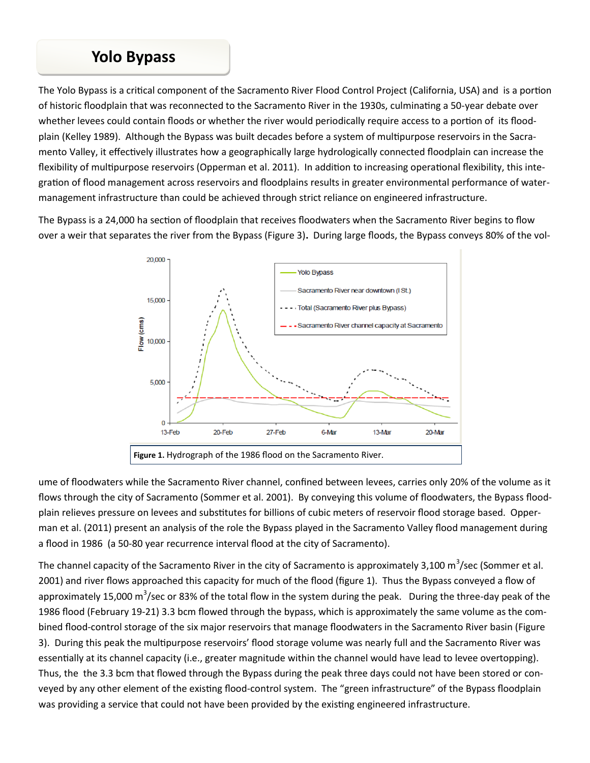## **Yolo Bypass**

The Yolo Bypass is a critical component of the Sacramento River Flood Control Project (California, USA) and is a portion of historic floodplain that was reconnected to the Sacramento River in the 1930s, culminating a 50-year debate over whether levees could contain floods or whether the river would periodically require access to a portion of its floodplain (Kelley 1989). Although the Bypass was built decades before a system of multipurpose reservoirs in the Sacramento Valley, it effectively illustrates how a geographically large hydrologically connected floodplain can increase the flexibility of multipurpose reservoirs (Opperman et al. 2011). In addition to increasing operational flexibility, this integration of flood management across reservoirs and floodplains results in greater environmental performance of watermanagement infrastructure than could be achieved through strict reliance on engineered infrastructure.

The Bypass is a 24,000 ha section of floodplain that receives floodwaters when the Sacramento River begins to flow over a weir that separates the river from the Bypass (Figure 3)**.** During large floods, the Bypass conveys 80% of the vol-



ume of floodwaters while the Sacramento River channel, confined between levees, carries only 20% of the volume as it flows through the city of Sacramento (Sommer et al. 2001). By conveying this volume of floodwaters, the Bypass floodplain relieves pressure on levees and substitutes for billions of cubic meters of reservoir flood storage based. Opperman et al. (2011) present an analysis of the role the Bypass played in the Sacramento Valley flood management during a flood in 1986 (a 50-80 year recurrence interval flood at the city of Sacramento).

The channel capacity of the Sacramento River in the city of Sacramento is approximately 3,100 m<sup>3</sup>/sec (Sommer et al. 2001) and river flows approached this capacity for much of the flood (figure 1). Thus the Bypass conveyed a flow of approximately 15,000 m<sup>3</sup>/sec or 83% of the total flow in the system during the peak. During the three-day peak of the 1986 flood (February 19-21) 3.3 bcm flowed through the bypass, which is approximately the same volume as the combined flood-control storage of the six major reservoirs that manage floodwaters in the Sacramento River basin (Figure 3). During this peak the multipurpose reservoirs' flood storage volume was nearly full and the Sacramento River was essentially at its channel capacity (i.e., greater magnitude within the channel would have lead to levee overtopping). Thus, the the 3.3 bcm that flowed through the Bypass during the peak three days could not have been stored or conveyed by any other element of the existing flood-control system. The "green infrastructure" of the Bypass floodplain was providing a service that could not have been provided by the existing engineered infrastructure.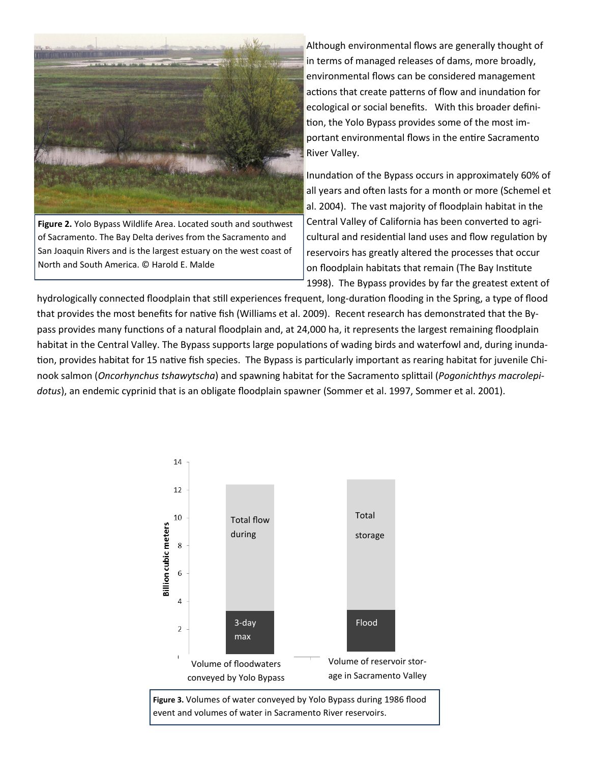

**Figure 2.** Yolo Bypass Wildlife Area. Located south and southwest of Sacramento. The Bay Delta derives from the Sacramento and San Joaquin Rivers and is the largest estuary on the west coast of North and South America. © Harold E. Malde

Although environmental flows are generally thought of in terms of managed releases of dams, more broadly, environmental flows can be considered management actions that create patterns of flow and inundation for ecological or social benefits. With this broader definition, the Yolo Bypass provides some of the most important environmental flows in the entire Sacramento River Valley.

Inundation of the Bypass occurs in approximately 60% of all years and often lasts for a month or more (Schemel et al. 2004). The vast majority of floodplain habitat in the Central Valley of California has been converted to agricultural and residential land uses and flow regulation by reservoirs has greatly altered the processes that occur on floodplain habitats that remain (The Bay Institute 1998).The Bypass provides by far the greatest extent of

hydrologically connected floodplain that still experiences frequent, long-duration flooding in the Spring, a type of flood that provides the most benefits for native fish (Williams et al. 2009).Recent research has demonstrated that the Bypass provides many functions of a natural floodplain and, at 24,000 ha, it represents the largest remaining floodplain habitat in the Central Valley. The Bypass supports large populations of wading birds and waterfowl and, during inundation, provides habitat for 15 native fish species. The Bypass is particularly important as rearing habitat for juvenile Chinook salmon (*Oncorhynchus tshawytscha*) and spawning habitat for the Sacramento splittail (*Pogonichthys macrolepidotus*), an endemic cyprinid that is an obligate floodplain spawner (Sommer et al. 1997, Sommer et al. 2001).